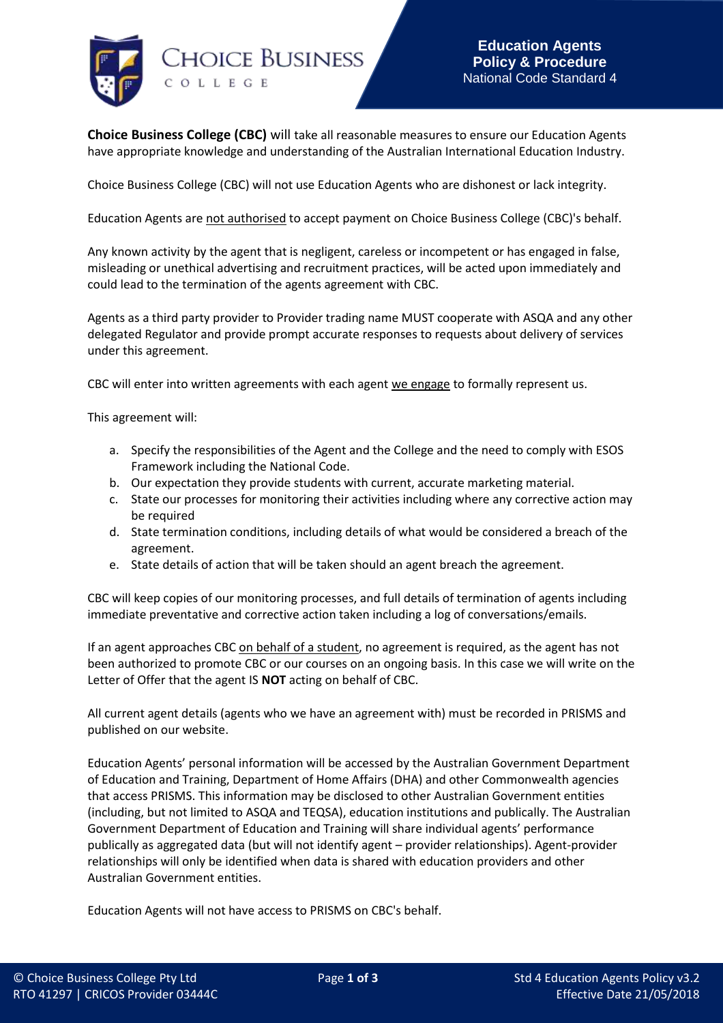

**Choice Business College (CBC)** will take all reasonable measures to ensure our Education Agents have appropriate knowledge and understanding of the Australian International Education Industry.

Choice Business College (CBC) will not use Education Agents who are dishonest or lack integrity.

Education Agents are not authorised to accept payment on Choice Business College (CBC)'s behalf.

Any known activity by the agent that is negligent, careless or incompetent or has engaged in false, misleading or unethical advertising and recruitment practices, will be acted upon immediately and could lead to the termination of the agents agreement with CBC.

Agents as a third party provider to Provider trading name MUST cooperate with ASQA and any other delegated Regulator and provide prompt accurate responses to requests about delivery of services under this agreement.

CBC will enter into written agreements with each agent we engage to formally represent us.

This agreement will:

- a. Specify the responsibilities of the Agent and the College and the need to comply with ESOS Framework including the National Code.
- b. Our expectation they provide students with current, accurate marketing material.
- c. State our processes for monitoring their activities including where any corrective action may be required
- d. State termination conditions, including details of what would be considered a breach of the agreement.
- e. State details of action that will be taken should an agent breach the agreement.

CBC will keep copies of our monitoring processes, and full details of termination of agents including immediate preventative and corrective action taken including a log of conversations/emails.

If an agent approaches CBC on behalf of a student, no agreement is required, as the agent has not been authorized to promote CBC or our courses on an ongoing basis. In this case we will write on the Letter of Offer that the agent IS **NOT** acting on behalf of CBC.

All current agent details (agents who we have an agreement with) must be recorded in PRISMS and published on our website.

Education Agents' personal information will be accessed by the Australian Government Department of Education and Training, Department of Home Affairs (DHA) and other Commonwealth agencies that access PRISMS. This information may be disclosed to other Australian Government entities (including, but not limited to ASQA and TEQSA), education institutions and publically. The Australian Government Department of Education and Training will share individual agents' performance publically as aggregated data (but will not identify agent – provider relationships). Agent-provider relationships will only be identified when data is shared with education providers and other Australian Government entities.

Education Agents will not have access to PRISMS on CBC's behalf.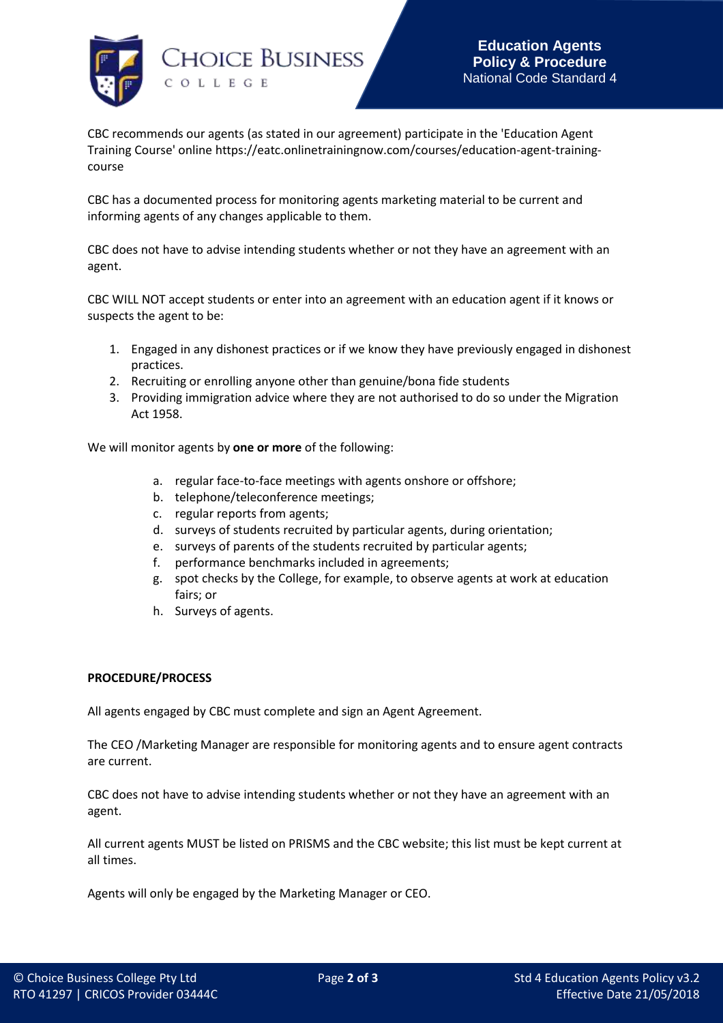

CBC recommends our agents (as stated in our agreement) participate in the 'Education Agent Training Course' online https://eatc.onlinetrainingnow.com/courses/education-agent-trainingcourse

CBC has a documented process for monitoring agents marketing material to be current and informing agents of any changes applicable to them.

CBC does not have to advise intending students whether or not they have an agreement with an agent.

CBC WILL NOT accept students or enter into an agreement with an education agent if it knows or suspects the agent to be:

- 1. Engaged in any dishonest practices or if we know they have previously engaged in dishonest practices.
- 2. Recruiting or enrolling anyone other than genuine/bona fide students
- 3. Providing immigration advice where they are not authorised to do so under the Migration Act 1958.

We will monitor agents by **one or more** of the following:

- a. regular face-to-face meetings with agents onshore or offshore;
- b. telephone/teleconference meetings;
- c. regular reports from agents;
- d. surveys of students recruited by particular agents, during orientation;
- e. surveys of parents of the students recruited by particular agents;
- f. performance benchmarks included in agreements;
- g. spot checks by the College, for example, to observe agents at work at education fairs; or
- h. Surveys of agents.

## **PROCEDURE/PROCESS**

All agents engaged by CBC must complete and sign an Agent Agreement.

The CEO /Marketing Manager are responsible for monitoring agents and to ensure agent contracts are current.

CBC does not have to advise intending students whether or not they have an agreement with an agent.

All current agents MUST be listed on PRISMS and the CBC website; this list must be kept current at all times.

Agents will only be engaged by the Marketing Manager or CEO.